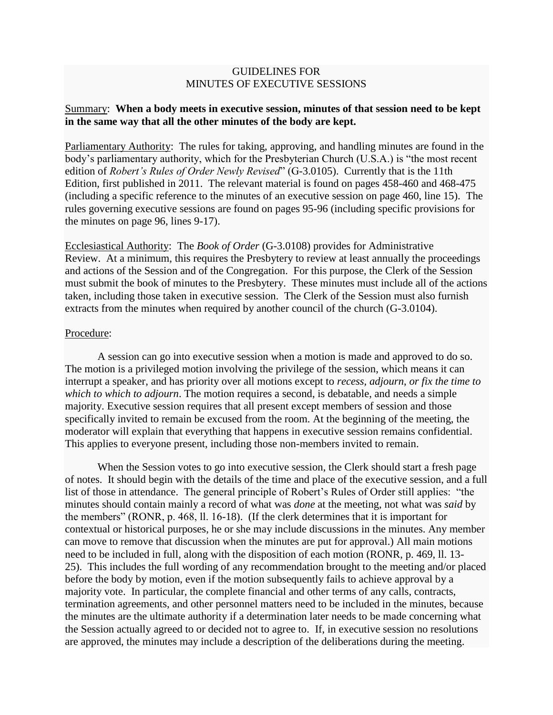## GUIDELINES FOR MINUTES OF EXECUTIVE SESSIONS

## Summary: **When a body meets in executive session, minutes of that session need to be kept in the same way that all the other minutes of the body are kept.**

Parliamentary Authority: The rules for taking, approving, and handling minutes are found in the body's parliamentary authority, which for the Presbyterian Church (U.S.A.) is "the most recent edition of *Robert's Rules of Order Newly Revised*" (G-3.0105). Currently that is the 11th Edition, first published in 2011. The relevant material is found on pages 458-460 and 468-475 (including a specific reference to the minutes of an executive session on page 460, line 15). The rules governing executive sessions are found on pages 95-96 (including specific provisions for the minutes on page 96, lines 9-17).

Ecclesiastical Authority: The *Book of Order* (G-3.0108) provides for Administrative Review. At a minimum, this requires the Presbytery to review at least annually the proceedings and actions of the Session and of the Congregation. For this purpose, the Clerk of the Session must submit the book of minutes to the Presbytery. These minutes must include all of the actions taken, including those taken in executive session. The Clerk of the Session must also furnish extracts from the minutes when required by another council of the church (G-3.0104).

## Procedure:

A session can go into executive session when a motion is made and approved to do so. The motion is a privileged motion involving the privilege of the session, which means it can interrupt a speaker, and has priority over all motions except to *recess, adjourn*, *or fix the time to which to which to adjourn*. The motion requires a second, is debatable, and needs a simple majority. Executive session requires that all present except members of session and those specifically invited to remain be excused from the room. At the beginning of the meeting, the moderator will explain that everything that happens in executive session remains confidential. This applies to everyone present, including those non-members invited to remain.

When the Session votes to go into executive session, the Clerk should start a fresh page of notes. It should begin with the details of the time and place of the executive session, and a full list of those in attendance. The general principle of Robert's Rules of Order still applies: "the minutes should contain mainly a record of what was *done* at the meeting, not what was *said* by the members" (RONR, p. 468, ll. 16-18). (If the clerk determines that it is important for contextual or historical purposes, he or she may include discussions in the minutes. Any member can move to remove that discussion when the minutes are put for approval.) All main motions need to be included in full, along with the disposition of each motion (RONR, p. 469, ll. 13- 25). This includes the full wording of any recommendation brought to the meeting and/or placed before the body by motion, even if the motion subsequently fails to achieve approval by a majority vote. In particular, the complete financial and other terms of any calls, contracts, termination agreements, and other personnel matters need to be included in the minutes, because the minutes are the ultimate authority if a determination later needs to be made concerning what the Session actually agreed to or decided not to agree to. If, in executive session no resolutions are approved, the minutes may include a description of the deliberations during the meeting.